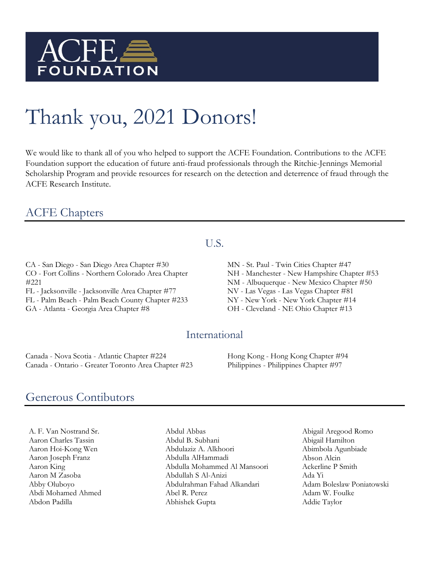

# Thank you, 2021 Donors!

We would like to thank all of you who helped to support the ACFE Foundation. Contributions to the ACFE Foundation support the education of future anti-fraud professionals through the Ritchie-Jennings Memorial Scholarship Program and provide resources for research on the detection and deterrence of fraud through the ACFE Research Institute.

## ACFE Chapters

CA - San Diego - San Diego Area Chapter #30 CO - Fort Collins - Northern Colorado Area Chapter #221 FL - Jacksonville - Jacksonville Area Chapter #77

FL - Palm Beach - Palm Beach County Chapter #233

GA - Atlanta - Georgia Area Chapter #8

#### U.S.

MN - St. Paul - Twin Cities Chapter #47 NH - Manchester - New Hampshire Chapter #53 NM - Albuquerque - New Mexico Chapter #50 NV - Las Vegas - Las Vegas Chapter #81 NY - New York - New York Chapter #14 OH - Cleveland - NE Ohio Chapter #13

#### International

Canada - Nova Scotia - Atlantic Chapter #224 Canada - Ontario - Greater Toronto Area Chapter #23 Hong Kong - Hong Kong Chapter #94 Philippines - Philippines Chapter #97

### Generous Contibutors

A. F. Van Nostrand Sr. Aaron Charles Tassin Aaron Hoi-Kong Wen Aaron Joseph Franz Aaron King Aaron M Zasoba Abby Oluboyo Abdi Mohamed Ahmed Abdon Padilla

Abdul Abbas Abdul B. Subhani Abdulaziz A. Alkhoori Abdulla AlHammadi Abdulla Mohammed Al Mansoori Abdullah S Al-Anizi Abdulrahman Fahad Alkandari Abel R. Perez Abhishek Gupta

Abigail Aregood Romo Abigail Hamilton Abimbola Agunbiade Abson Alcin Ackerline P Smith Ada Yi Adam Boleslaw Poniatowski Adam W. Foulke Addie Taylor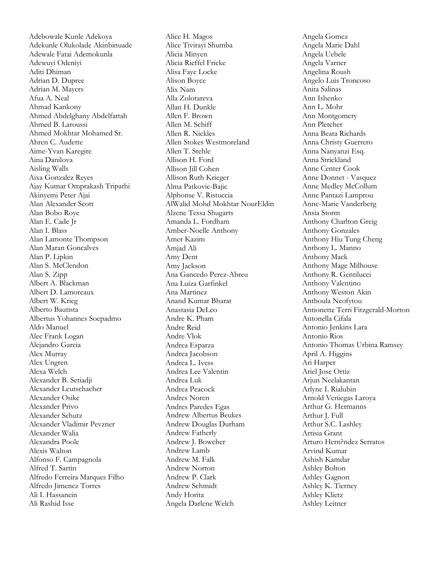Adebowale Kunle Adekoya Adekunle Olukolade Akinbinuade Adewale Fatai Ademokunla Adewuyi Odeniyi Aditi Dhiman Adrian D. Dupree Adrian M. Mayers Afua A. Neal Ahmad Kankony Ahmed Abdelghany Abdelfattah Ahmed B. Laroussi Ahmed Mokhtar Mohamed Sr. Ahren C. Audette Aime-Yvan Karegire Aina Danilova Aisling Walls Aixa Gonzalez Reyes Ajay Kumar Omprakash Tripathi Akinyemi Peter Ajai Alan Alexander Scott Alan Bobo Roye Alan E. Cade Jr Alan I. Blass Alan Lamonte Thompson Alan Maran Goncalves Alan P. Lipkin Alan S. McClendon Alan S. Zipp Albert A. Blackman Albert D. Lamoreaux Albert W. Krieg Alberto Bautista Albertus Yohannes Soepadmo Aldo Manuel Alec Frank Logan Alejandro Garcia Alex Murray Alex Ungren Alexa Welch Alexander B. Setiadji Alexander Leutschacher Alexander Osike Alexander Privo Alexander Schutz Alexander Vladimir Pevzner Alexander Walia Alexandra Poole Alexis Walton Alfonso F. Campagnola Alfred T. Sartin Alfredo Ferreira Marques Filho Alfredo Jimenez Torres Ali I. Hassanein Ali Rashid Isse

Alice H. Magos Alice Tivirayi Shumba Alicia Minyen Alicia Rieffel Fricke Alisa Faye Locke Alison Boyce Alix Nam Alla Zolotareva Allan H. Dunkle Allen F. Brown Allen M. Schiff Allen R. Nickles Allen Stokes Westmoreland Allen T. Stehle Allison H. Ford Allison Jill Cohen Allison Ruth Krieger Alma Patkovic-Bajic Alphonse V. Ristuccia AlWalid Mohd Mokhtar NourEldin Alzene Tessa Shugarts Amanda L. Fordham Amber-Noelle Anthony Amer Kazim Amjad Ali Amy Dent Amy Jackson Ana Gancedo Perez-Abreu Ana Luiza Garfinkel Ana Martinez Anand Kumar Bharat Anastasia DeLeo Andre K. Pham Andre Reid Andre Vlok Andrea Esparza Andrea Jacobson Andrea L. Ivess Andrea Lee Valentin Andrea Luk Andrea Peacock Andres Noren Andres Paredes Egas Andrew Albertus Beukes Andrew Douglas Durham Andrew Fatherly Andrew J. Bowcher Andrew Lamb Andrew M. Falk Andrew Norton Andrew P. Clark Andrew Schmidt Andy Horita Angela Darlene Welch

Angela Gomez Angela Marie Dahl Angela Uebele Angela Varner Angelina Roush Angelo Luis Troncoso Anita Salinas Ann Ishenko Ann L. Mohr Ann Montgomery Ann Pletcher Anna Beata Richards Anna Christy Guerrero Anna Nanyanzi Esq. Anna Strickland Anne Center Cook Anne Donnet - Vasquez Anne Medley McCollum Anne Pantazi Lamprou Anne-Marie Vanderberg Ansia Storm Anthony Charlton Greig Anthony Gonzales Anthony Hiu Tung Cheng Anthony L. Manno Anthony Mack Anthony Mage Milhouse Anthony R. Gentilucci Anthony Valentino Anthony Weston Akin Anthoula Neofytou Antionette Terri Fitzgerald-Morton Antonella Cifala Antonio Jenkins Lara Antonio Rios Antonio Thomas Urbina Ramsey April A. Higgins Ari Harper Ariel Jose Ortiz Arjun Neelakantan Arlyne I. Rialubin Arnold Veniegas Laroya Arthur G. Hermanns Arthur J. Full Arthur S.C. Lashley Artisia Grant Arturo Hern?ndez Serratos Arvind Kumar Ashish Kamdar Ashley Bolton Ashley Gagnon Ashley K. Tierney Ashley Klietz Ashley Leitner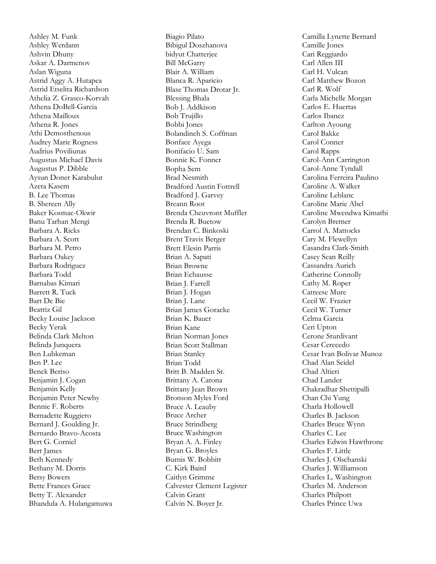Ashley M. Funk Ashley Werdann Ashvin Dhuny Askar A. Darmenov Aslan Wiguna Astrid Aggy A. Hutapea Astrid Etselita Richardson Athelia Z. Grasco -Korvah Athena DoBell -Garcia Athena Mailloux Athena R. Jones Athi Demosthenous Audrey Marie Rogness Audrius Poviliunas Augustus Michael Davis Augustus P. Dibble Aysun Doner Karabulut Azeta Kasem B. Lee Thomas B. Shereen Ally Baker Kosmac -Okwir Banu Tarhan Mengi Barbara A. Ricks Barbara A. Scott Barbara M. Petro Barbara Oakey Barbara Rodriguez Barbara Todd Barnabas Kimari Barrett R. Tuck Bart De Bie Beatriz Gil Becky Louise Jackson Becky Yerak Belinda Clark Melton Belinda Junquera Ben Lubkeman Ben P. Lee Benek Beriso Benjamin J. Cogan Benjamin Kelly Benjamin Peter Newby Bennie F. Roberts Bernadette Ruggiero Bernard J. Goulding Jr. Bernardo Bravo -Acosta Bert G. Corniel Bert James Beth Kennedy Bethany M. Dorris Betsy Bowers Bette Frances Grace Betty T. Alexander Bhandula A. Hulangamuwa Biagio Pilato Bibigul Doszhanova bidyut Chatterjee Bill McGarry Blair A. William Blanca R. Aparicio Blase Thomas Drotar Jr. Blessing Bhala Bob J. Addkison Bob Trujillo Bobbi Jones Bolandineh S. Coffman Bonface Ayega Bonifacio U. Sam Bonnie K. Fonner Bopha Sem Brad Nesmith Bradford Austin Fottrell Bradford J. Garvey Breann Root Brenda Cheuvront Muffler Brenda R. Buetow Brendan C. Binkoski Brent Travis Berger Brett Elesin Parris Brian A. Sapati Brian Browne Brian Echausse Brian J. Farrell Brian J. Hogan Brian J. Lane Brian James Goracke Brian K. Bauer Brian Kane Brian Norman Jones Brian Scott Stallman Brian Stanley Brian Todd Britt B. Madden Sr. Brittany A. Catona Brittany Jean Brown Bronson Myles Ford Bruce A. Leauby Bruce Archer Bruce Strindberg Bruce Washington Bryan A. A. Finley Bryan G. Broyles Burnis W. Bobbitt C. Kirk Baird Caitlyn Grimme Calvester Clement Legister Calvin Grant Calvin N. Boyer Jr.

Camilla Lynette Bernard Camille Jones Cari Reggiardo Carl Allen III Carl H. Vulcan Carl Matthew Bozon Carl R. Wolf Carla Michelle Morgan Carlos E. Huertas Carlos Ibanez Carlton Ayoung Carol Bakke Carol Conner Carol Rapps Carol -Ann Carrington Carol -Anne Tyndall Carolina Ferreira Paulino Caroline A. Walker Caroline Leblanc Caroline Marie Abel Caroline Mwendwa Kimathi Carolyn Bremer Carrol A. Mattocks Cary M. Flewellyn Casandra Clark -Smith Casey Sean Reilly Cassandra Aurich Catherine Connolly Cathy M. Roper Catreese Mure Cecil W. Frazier Cecil W. Turner Celma Garcia Ceri Upton Cerone Sturdivant Cesar Cerecedo Cesar Ivan Bolivar Munoz Chad Alan Seidel Chad Altieri Chad Lander Chakradhar Shettipalli Chan Chi Yung Charla Hollowell Charles B. Jackson Charles Bruce Wynn Charles C. Lee Charles Edwin Hawthrone Charles F. Little Charles J. Olschanski Charles J. Williamson Charles L. Washington Charles M. Anderson Charles Philpott Charles Prince Uwa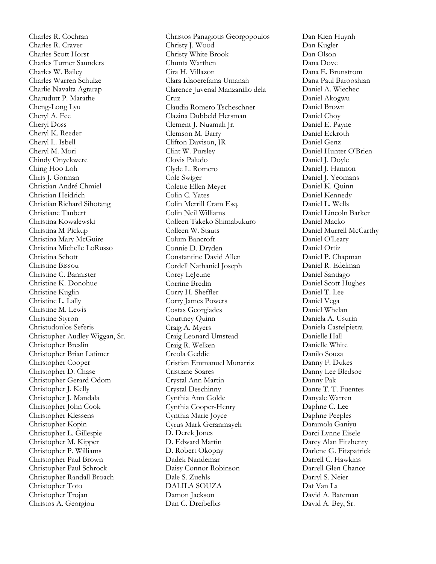Charles R. Cochran Charles R. Craver Charles Scott Horst Charles Turner Saunders Charles W. Bailey Charles Warren Schulze Charlie Navalta Agtarap Charudutt P. Marathe Cheng -Long Lyu Cheryl A. Fee Cheryl Doss Cheryl K. Reeder Cheryl L. Isbell Cheryl M. Mori Chindy Onyekwere Ching Hoo Loh Chris J. Gorman Christian André Chmiel Christian Heidrich Christian Richard Sihotang Christiane Taubert Christina Kowalewski Christina M Pickup Christina Mary McGuire Christina Michelle LoRusso Christina Schott Christine Bissou Christine C. Bannister Christine K. Donohue Christine Kuglin Christine L. Lally Christine M. Lewis Christine Styron Christodoulos Seferis Christopher Audley Wiggan, Sr. Christopher Breslin Christopher Brian Latimer Christopher Cooper Christopher D. Chase Christopher Gerard Odom Christopher J. Kelly Christopher J. Mandala Christopher John Cook Christopher Klessens Christopher Kopin Christopher L. Gillespie Christopher M. Kipper Christopher P. Williams Christopher Paul Brown Christopher Paul Schrock Christopher Randall Broach Christopher Toto Christopher Trojan Christos A. Georgiou

Christos Panagiotis Georgopoulos Christy J. Wood Christy White Brook Chunta Warthen Cira H. Villazon Clara Idaoerefama Umanah Clarence Juvenal Manzanillo dela Cruz Claudia Romero Tscheschner Clazina Dubbeld Hersman Clement J. Nuamah Jr. Clemson M. Barry Clifton Davison, JR Clint W. Pursley Clovis Paludo Clyde L. Romero Cole Swiger Colette Ellen Meyer Colin C. Yates Colin Merrill Cram Esq. Colin Neil Williams Colleen Takeko Shimabukuro Colleen W. Stauts Colum Bancroft Connie D. Dryden Constantine David Allen Cordell Nathaniel Joseph Corey LeJeune Corrine Bredin Corry H. Sheffler Corry James Powers Costas Georgiades Courtney Quinn Craig A. Myers Craig Leonard Umstead Craig R. Welken Creola Geddie Cristian Emmanuel Munarriz Cristiane Soares Crystal Ann Martin Crystal Deschinny Cynthia Ann Golde Cynthia Cooper -Henry Cynthia Marie Joyce Cyrus Mark Geranmayeh D. Derek Jones D. Edward Martin D. Robert Okopny Dadek Nandemar Daisy Connor Robinson Dale S. Zuehls DALILA SOUZA Damon Jackson Dan C. Dreibelbis

Dan Kien Huynh Dan Kugler Dan Olson Dana Dove Dana E. Brunstrom Dana Paul Barooshian Daniel A. Wiechec Daniel Akogwu Daniel Brown Daniel Choy Daniel E. Payne Daniel Eckroth Daniel Genz Daniel Hunter O'Brien Daniel J. Doyle Daniel J. Hannon Daniel J. Yeomans Daniel K. Quinn Daniel Kennedy Daniel L. Wells Daniel Lincoln Barker Daniel Macko Daniel Murrell McCarthy Daniel O'Leary Daniel Ortiz Daniel P. Chapman Daniel R. Edelman Daniel Santiago Daniel Scott Hughes Daniel T. Lee Daniel Vega Daniel Whelan Daniela A. Usurin Daniela Castelpietra Danielle Hall Danielle White Danilo Souza Danny F. Dukes Danny Lee Bledsoe Danny Pak Dante T. T. Fuentes Danyale Warren Daphne C. Lee Daphne Peeples Daramola Ganiyu Darci Lynne Eisele Darcy Alan Fitzhenry Darlene G. Fitzpatrick Darrell C. Hawkins Darrell Glen Chance Darryl S. Neier Dat Van La David A. Bateman David A. Bey, Sr.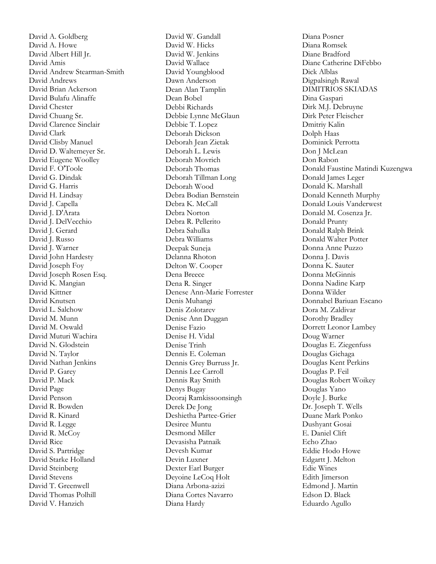David A. Goldberg David A. Howe David Albert Hill Jr. David Amis David Andrew Stearman -Smith David Andrews David Brian Ackerson David Bulafu Alinaffe David Chester David Chuang Sr. David Clarence Sinclair David Clark David Clisby Manuel David D. Waltemeyer Sr. David Eugene Woolley David F. O'Toole David G. Dindak David G. Harris David H. Lindsay David J. Capella David J. D'Arata David J. DelVecchio David J. Gerard David J. Russo David J. Warner David John Hardesty David Joseph Foy David Joseph Rosen Esq. David K. Mangian David Kittner David Knutsen David L. Salchow David M. Munn David M. Oswald David Muturi Wachira David N. Glodstein David N. Taylor David Nathan Jenkins David P. Garey David P. Mack David Page David Penson David R. Bowden David R. Kinard David R. Legge David R. McCoy David Rice David S. Partridge David Starke Holland David Steinberg David Stevens David T. Greenwell David Thomas Polhill David V. Hanzich

David W. Gandall David W. Hicks David W. Jenkins David Wallace David Youngblood Dawn Anderson Dean Alan Tamplin Dean Bobel Debbi Richards Debbie Lynne McGlaun Debbie T. Lopez Deborah Dickson Deborah Jean Zietak Deborah L. Lewis Deborah Movrich Deborah Thomas Deborah Tillman Long Deborah Wood Debra Bodian Bernstein Debra K. McCall Debra Norton Debra R. Pellerito Debra Sahulka Debra Williams Deepak Suneja Delanna Rhoton Delton W. Cooper Dena Breece Dena R. Singer Denese Ann -Marie Forrester Denis Muhangi Denis Zolotarev Denise Ann Duggan Denise Fazio Denise H. Vidal Denise Trinh Dennis E. Coleman Dennis Grey Burruss Jr. Dennis Lee Carroll Dennis Ray Smith Denys Bugay Deoraj Ramkissoonsingh Derek De Jong Deshietha Partee -Grier Desiree Muntu Desmond Miller Devasisha Patnaik Devesh Kumar Devin Luxner Dexter Earl Burger Deyoine LeCoq Holt Diana Arbona -azizi Diana Cortes Navarro Diana Hardy

Diana Posner Diana Romsek Diane Bradford Diane Catherine DiFebbo Dick Alblas Digpalsingh Rawal DIMITRIOS SKIADAS Dina Gaspari Dirk M.J. Debruyne Dirk Peter Fleischer Dmitriy Kalin Dolph Haas Dominick Perrotta Don J McLean Don Rabon Donald Faustine Matindi Kuzengwa Donald James Leger Donald K. Marshall Donald Kenneth Murphy Donald Louis Vanderwest Donald M. Cosenza Jr. Donald Prunty Donald Ralph Brink Donald Walter Potter Donna Anne Puzzo Donna J. Davis Donna K. Sauter Donna McGinnis Donna Nadine Karp Donna Wilder Donnabel Bariuan Escano Dora M. Zaldivar Dorothy Bradley Dorrett Leonor Lambey Doug Warner Douglas E. Ziegenfuss Douglas Gichaga Douglas Kent Perkins Douglas P. Feil Douglas Robert Woikey Douglas Yano Doyle J. Burke Dr. Joseph T. Wells Duane Mark Ponko Dushyant Gosai E. Daniel Clift Echo Zhao Eddie Hodo Howe Edgartt J. Melton Edie Wines Edith Jimerson Edmond J. Martin Edson D. Black Eduardo Agullo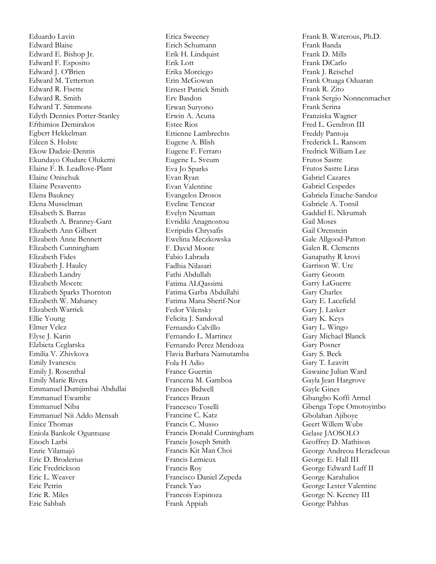Eduardo Lavin Edward Blaise Edward E. Bishop Jr. Edward F. Esposito Edward J. O'Brien Edward M. Tetterton Edward R. Fisette Edward R. Smith Edward T. Simmons Edyth Dennies Porter -Stanley Efthimios Demirakos Egbert Hekkelman Eileen S. Holste Ekow Dadzie -Dennis Ekundayo Oludare Olukemi Elaine F. B. Leadlove -Plant Elaine Onischuk Elaine Pesavento Elena Baukney Elena Musselman Elisabeth S. Barras Elizabeth A. Branney -Gant Elizabeth Ann Gilbert Elizabeth Anne Bennett Elizabeth Cunningham Elizabeth Fides Elizabeth J. Haulcy Elizabeth Landry Elizabeth Mocete Elizabeth Sparks Thornton Elizabeth W. Mahaney Elizabeth Warrick Ellie Young Elmer Velez Elyse J. Karin Elzbieta Ceglarska Emilia V. Zhivkova Emily Ivanescu Emily J. Rosenthal Emily Marie Rivera Emmanuel Dumjimbai Abdullai Emmanuel Ewambe Emmanuel Niba Emmanuel Nii Addo Mensah Enice Thomas Eniola Bankole Oguntuase Enoch Larbi Enric Vilamajó Eric D. Broderius Eric Fredrickson Eric L. Weaver Eric Petrin Eric R. Miles Eric Sabbah

Erica Sweeney Erich Schumann Erik H. Lindquist Erik Lott Erika Morciego Erin McGowan Ernest Patrick Smith Erv Basdon Erwan Suryono Erwin A. Acuna Estee Rios Ettienne Lambrechts Eugene A. Blish Eugene F. Ferraro Eugene L. Sveum Eva Jo Sparks Evan Ryan Evan Valentine Evangelos Drosos Eveline Tenczar Evelyn Neuman Evridiki Anagnostou Evripidis Chrysafis Ewelina Meczkowska F. David Moore Fabio Labrada Fadhia Nilasari Fathi Abdullah Fatima ALQassimi Fatima Garba Abdullahi Fatima Mana Sherif-Nor Fedor Vilensky Felicita J. Sandoval Fernando Calvillo Fernando L. Martinez Fernando Perez Mendoza Flavia Barbara Namutamba Fola H Adio France Guertin Francena M. Gamboa Frances Bidwell Frances Braun Francesco Toselli Francine C. Katz Francis C. Musso Francis Donald Cunningham Francis Joseph Smith Francis Kit Man Choi Francis Lemieux Francis Roy Francisco Daniel Zepeda Franck Yao Francois Espinoza Frank Appiah

Frank B. Waterous, Ph.D. Frank Banda Frank D. Mills Frank DiCarlo Frank J. Reischel Frank Otuaga Oduaran Frank R. Zito Frank Sergio Nonnenmacher Frank Serina Franziska Wagner Fred L. Gendron III Freddy Pantoja Frederick L. Ransom Fredrick William Lee Frutos Sastre Frutos Sastre Liras Gabriel Cazares Gabriel Cespedes Gabriela Enache -Sandoz Gabriele A. Tonsil Gaddiel E. Nkrumah Gail Moses Gail Orenstein Gale Allgood -Patton Galen R. Clements Ganapathy R krovi Garrison W. Ure Garry Groom Garry LaGuerre Gary Charles Gary E. Lacefield Gary J. Lasker Gary K. Keys Gary L. Wingo Gary Michael Blanck Gary Posner Gary S. Beck Gary T. Leavitt Gawaine Julian Ward Gayla Jean Hargrove Gayle Gines Gbangbo Koffi Armel Gbenga Tope Omotoyinbo Gbolahan Ajiboye Geert Willem Wubs Gelase JAOSOLO Geoffrey D. Mathison George Andreou Heracleous George E. Hall III George Edward Luff II George Karahalios George Lester Valentine George N. Keeney III George Pahhas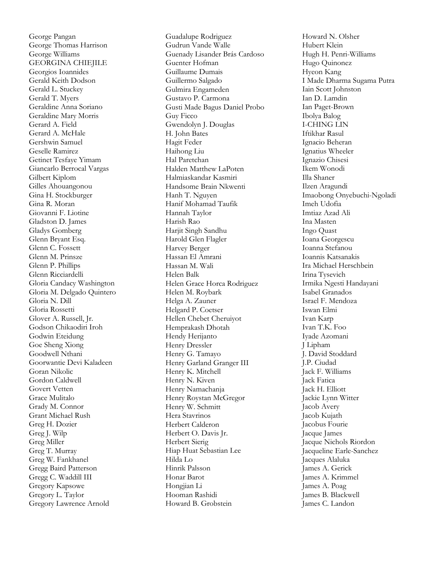George Pangan George Thomas Harrison George Williams GEORGINA CHIEJILE Georgios Ioannides Gerald Keith Dodson Gerald L. Stuckey Gerald T. Myers Geraldine Anna Soriano Geraldine Mary Morris Gerard A. Field Gerard A. McHale Gershwin Samuel Geselle Ramirez Getinet Tesfaye Yimam Giancarlo Berrocal Vargas Gilbert Kiplom Gilles Ahouangonou Gina H. Stockburger Gina R. Moran Giovanni F. Liotine Gladston D. James Gladys Gomberg Glenn Bryant Esq. Glenn C. Fossett Glenn M. Prinsze Glenn P. Phillips Glenn Ricciardelli Gloria Candacy Washington Gloria M. Delgado Quintero Gloria N. Dill Gloria Rossetti Glover A. Russell, Jr. Godson Chikaodiri Iroh Godwin Eteidung Goe Sheng Xiong Goodwell Nthani Goorwantie Devi Kaladeen Goran Nikolic Gordon Caldwell Govert Vetten Grace Mulitalo Grady M. Connor Grant Michael Rush Greg H. Dozier Greg J. Wilp Greg Miller Greg T. Murray Greg W. Fankhanel Gregg Baird Patterson Gregg C. Waddill III Gregory Kapsowe Gregory L. Taylor Gregory Lawrence Arnold

Guadalupe Rodriguez Gudrun Vande Walle Guenady Lisander Brás Cardoso Guenter Hofman Guillaume Dumais Guillermo Salgado Gulmira Engameden Gustavo P. Carmona Gusti Made Bagus Daniel Probo Guy Ficco Gwendolyn J. Douglas H. John Bates Hagit Feder Haihong Liu Hal Paretchan Halden Matthew LaPoten Halmiaskandar Kasmiri Handsome Brain Nkwenti Hanh T. Nguyen Hanif Mohamad Taufik Hannah Taylor Harish Rao Harjit Singh Sandhu Harold Glen Flagler Harvey Berger Hassan El Amrani Hassan M. Wali Helen Balk Helen Grace Horca Rodriguez Helen M. Roybark Helga A. Zauner Helgard P. Coetser Hellen Chebet Cheruiyot Hemprakash Dhotah Hendy Herijanto Henry Dressler Henry G. Tamayo Henry Garland Granger III Henry K. Mitchell Henry N. Kiven Henry Namachanja Henry Roystan McGregor Henry W. Schmitt Hera Stavrinos Herbert Calderon Herbert O. Davis Jr. Herbert Sierig Hiap Huat Sebastian Lee Hilda Lo Hinrik Palsson Honar Barot Hongjian Li Hooman Rashidi Howard B. Grobstein

Howard N. Olsher Hubert Klein Hugh H. Penri -Williams Hugo Quinonez Hyeon Kang I Made Dharma Sugama Putra Iain Scott Johnston Ian D. Lamdin Ian Paget -Brown Ibolya Balog I-CHING LIN Iftikhar Rasul Ignacio Beheran Ignatius Wheeler Ignazio Chisesi Ikem Wonodi Illa Shaner Ilzen Aragundi Imaobong Onyebuchi -Ngoladi Imeh Udofia Imtiaz Azad Ali Ina Masten Ingo Quast Ioana Georgescu Ioanna Stefanou Ioannis Katsanakis Ira Michael Herschbein Irina Tysevich Irmika Ngesti Handayani Isabel Granados Israel F. Mendoza Iswan Elmi Ivan Karp Ivan T.K. Foo Iyade Azomani J Lipham J. David Stoddard J.P. Ciudad Jack F. Williams Jack Fatica Jack H. Elliott Jackie Lynn Witter Jacob Avery Jacob Kujath Jacobus Fourie Jacque James Jacque Nichols Riordon Jacqueline Earle -Sanchez Jacques Alaluka James A. Gerick James A. Krimmel James A. Poag James B. Blackwell James C. Landon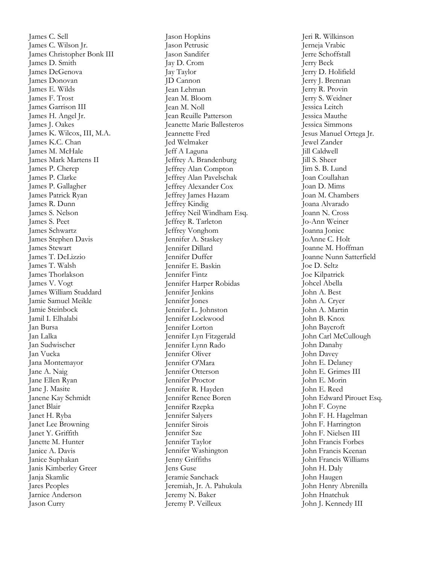James C. Sell James C. Wilson Jr. James Christopher Bonk III James D. Smith James DeGenova James Donovan James E. Wilds James F. Trost James Garrison III James H. Angel Jr. James J. Oakes James K. Wilcox, III, M.A. James K.C. Chan James M. McHale James Mark Martens II James P. Cherep James P. Clarke James P. Gallagher James Patrick Ryan James R. Dunn James S. Nelson James S. Peet James Schwartz James Stephen Davis James Stewart James T. DeLizzio James T. Walsh James Thorlakson James V. Vogt James William Studdard Jamie Samuel Meikle Jamie Steinbock Jamil I. Elhalabi Jan Bursa Jan Lalka Jan Sudwischer Jan Vucka Jana Montemayor Jane A. Naig Jane Ellen Ryan Jane J. Masite Janene Kay Schmidt Janet Blair Janet H. Ryba Janet Lee Browning Janet Y. Griffith Janette M. Hunter Janice A. Davis Janice Suphakan Janis Kimberley Greer Janja Skamlic Jares Peoples Jarnice Anderson Jason Curry

Jason Hopkins Jason Petrusic Jason Sandifer Jay D. Crom Jay Taylor JD Cannon Jean Lehman Jean M. Bloom Jean M. Noll Jean Reuille Patterson Jeanette Marie Ballesteros Jeannette Fred Jed Welmaker Jeff A Laguna Jeffrey A. Brandenburg Jeffrey Alan Compton Jeffrey Alan Pavelschak Jeffrey Alexander Cox Jeffrey James Hazam Jeffrey Kindig Jeffrey Neil Windham Esq. Jeffrey R. Tarleton Jeffrey Vonghom Jennifer A. Staskey Jennifer Dillard Jennifer Duffer Jennifer E. Baskin Jennifer Fintz Jennifer Harper Robidas Jennifer Jenkins Jennifer Jones Jennifer L. Johnston Jennifer Lockwood Jennifer Lorton Jennifer Lyn Fitzgerald Jennifer Lynn Rado Jennifer Oliver Jennifer O'Mara Jennifer Otterson Jennifer Proctor Jennifer R. Hayden Jennifer Renee Boren Jennifer Rzepka Jennifer Salyers Jennifer Sirois Jennifer Sze Jennifer Taylor Jennifer Washington Jenny Griffiths Jens Guse Jeramie Sanchack Jeremiah, Jr. A. Pahukula Jeremy N. Baker Jeremy P. Veilleux

Jeri R. Wilkinson Jerneja Vrabic Jerre Schoffstall Jerry Beck Jerry D. Holifield Jerry J. Brennan Jerry R. Provin Jerry S. Weidner Jessica Leitch Jessica Mauthe Jessica Simmons Jesus Manuel Ortega Jr. Jewel Zander Jill Caldwell Jill S. Sheer Jim S. B. Lund Joan Coullahan Joan D. Mims Joan M. Chambers Joana Alvarado Joann N. Cross Jo -Ann Weiner Joanna Joniec JoAnne C. Holt Joanne M. Hoffman Joanne Nunn Satterfield Joe D. Seltz Joe Kilpatrick Johcel Abella John A. Best John A. Cryer John A. Martin John B. Knox John Baycroft John Carl McCullough John Danahy John Davey John E. Delaney John E. Grimes III John E. Morin John E. Reed John Edward Pirouet Esq. John F. Coyne John F. H. Hagelman John F. Harrington John F. Nielsen III John Francis Forbes John Francis Keenan John Francis Williams John H. Daly John Haugen John Henry Abrenilla John Hnatchuk John J. Kennedy III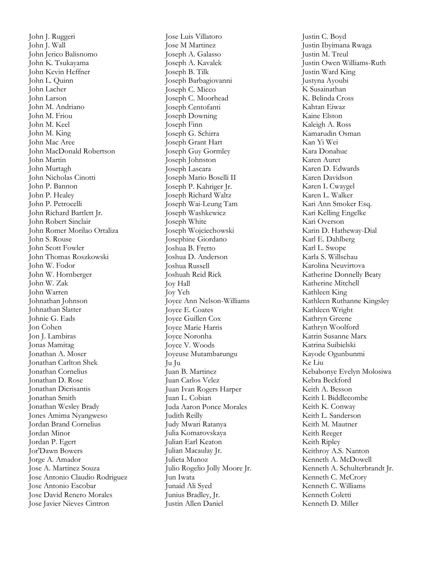John J. Ruggeri John J. Wall John Jerico Balisnomo John K. Tsukayama John Kevin Heffner John L. Quinn John Lacher John Larson John M. Andriano John M. Friou John M. Keel John M. King John Mac Aree John MacDonald Robertson John Martin John Murtagh John Nicholas Cinotti John P. Bannon John P. Healey John P. Petrocelli John Richard Bartlett Jr. John Robert Sinclair John Romer Morilao Ortaliza John S. Rouse John Scott Fowler John Thomas Roszkowski John W. Fodor John W. Hornberger John W. Zak John Warren Johnathan Johnson Johnathan Slatter Johnie G. Eads Jon Cohen Jon J. Lambiras Jonas Mamitag Jonathan A. Moser Jonathan Carlton Shek Jonathan Cornelius Jonathan D. Rose Jonathan Dicrisantis Jonathan Smith Jonathan Wesley Brady Jones Amima Nyangweso Jordan Brand Cornelius Jordan Minor Jordan P. Egert Jor'Dawn Bowers Jorge A. Amador Jose A. Martinez Souza Jose Antonio Claudio Rodriguez Jose Antonio Escobar Jose David Renero Morales Jose Javier Nieves Cintron

Jose Luis Villatoro Jose M Martinez Joseph A. Galasso Joseph A. Kavalek Joseph B. Tilk Joseph Barbagiovanni Joseph C. Micco Joseph C. Moorhead Joseph Centofanti Joseph Downing Joseph Finn Joseph G. Schirra Joseph Grant Hart Joseph Guy Gormley Joseph Johnston Joseph Lascara Joseph Mario Boselli II Joseph P. Kahriger Jr. Joseph Richard Waltz Joseph Wai -Leung Tam Joseph Washkewicz Joseph White Joseph Wojciechowski Josephine Giordano Joshua B. Fretto Joshua D. Anderson Joshua Russell Joshuah Reid Rick Joy Hall Joy Yeh Joyce Ann Nelson -Williams Joyce E. Coates Joyce Guillen Cox Joyce Marie Harris Joyce Noronha Joyce V. Woods Joyeuse Mutambarungu Ju Ju Juan B. Martinez Juan Carlos Velez Juan Ivan Rogers Harper Juan L. Cobian Juda Aaron Ponce Morales Judith Reilly Judy Mwari Ratanya Julia Komarovskaya Julian Earl Keaton Julian Macaulay Jr. Julieta Munoz Julio Rogelio Jolly Moore Jr. Jun Iwata Junaid Ali Syed Junius Bradley, Jr. Justin Allen Daniel

Justin C. Boyd Justin Ibyimana Rwaga Justin M. Treul Justin Owen Williams -Ruth Justin Ward King Justyna Ayoubi K Susainathan K. Belinda Cross Kahtan Eiwaz Kaine Elston Kaleigh A. Ross Kamarudin Osman Kan Yi Wei Kara Donahue Karen Auret Karen D. Edwards Karen Davidson Karen L Cwaygel Karen L. Walker Kari Ann Smoker Esq. Kari Kelling Engelke Kari Overson Karin D. Hatheway -Dial Karl E. Dahlberg Karl L. Swope Karla S. Willschau Karolina Neuvirtova Katherine Donnelly Beaty Katherine Mitchell Kathleen King Kathleen Ruthanne Kingsley Kathleen Wright Kathryn Greene Kathryn Woolford Katrin Susanne Marx Katrina Suibielski Kayode Ogunbunmi Ke Liu Kebabonye Evelyn Molosiwa Kebra Beckford Keith A. Besson Keith I. Biddlecombe Keith K. Conway Keith L. Sanderson Keith M. Mautner Keith Reeger Keith Ripley Keithroy A.S. Nanton Kenneth A. McDowell Kenneth A. Schulterbrandt Jr. Kenneth C. McCrory Kenneth C. Williams Kenneth Coletti Kenneth D. Miller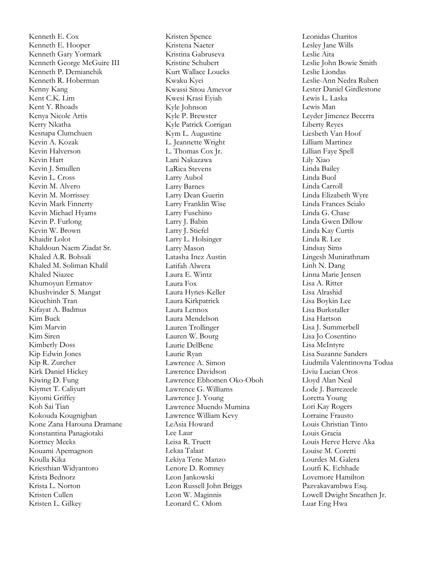Kenneth E. Cox Kenneth E. Hooper Kenneth Gary Yormark Kenneth George McGuire III Kenneth P. Demianchik Kenneth R. Hoberman Kenny Kang Kent C.K. Lim Kent Y. Rhoads Kenya Nicole Artis Kerry Nkatha Kesnapa Clumchuen Kevin A. Kozak Kevin Halverson Kevin Hart Kevin J. Smullen Kevin L. Cross Kevin M. Alvero Kevin M. Morrissey Kevin Mark Finnerty Kevin Michael Hyams Kevin P. Furlong Kevin W. Brown Khaidir Lolot Khaldoun Naem Ziadat Sr. Khaled A.R. Bohsali Khaled M. Soliman Khalil Khaled Niazee Khumoyun Ermatov Khushvinder S. Mangat Kieuchinh Tran Kifayat A. Badmus Kim Buck Kim Marvin Kim Siren Kimberly Doss Kip Edwin Jones Kip R. Zurcher Kirk Daniel Hickey Kiwing D. Fung Kiymet T. Caliyurt Kiyomi Griffey Koh Sai Tian Kokouda Kougnigban Kone Zana Harouna Dramane Konstantina Panagiotaki Kortney Meeks Kouami Apemagnon Koulla Kika Kriesthian Widyantoro Krista Bednorz Krista L. Norton Kristen Cullen Kristen L. Gilkey

Kristen Spence Kristena Naeter Kristina Gabruseva Kristine Schubert Kurt Wallace Loucks Kwaku Kyei Kwassi Sitou Amevor Kwesi Krasi Eyiah Kyle Johnson Kyle P. Brewster Kyle Patrick Corrigan Kym L. Augustine L. Jeannette Wright L. Thomas Cox Jr. Lani Nakazawa LaRica Stevens Larry Aubol Larry Barnes Larry Dean Guerin Larry Franklin Wise Larry Fuschino Larry J. Babin Larry J. Stiefel Larry L. Holsinger Larry Mason Latasha Inez Austin Latifah Alwera Laura E. Wintz Laura Fox Laura Hynes -Keller Laura Kirkpatrick Laura Lennox Laura Mendelson Lauren Trollinger Lauren W. Bourg Laurie DelBene Laurie Ryan Lawrence A. Simon Lawrence Davidson Lawrence Ebhomen Oko -Oboh Lawrence G. Williams Lawrence J. Young Lawrence Muendo Mumina Lawrence William Kevy LeAsia Howard Lee Laur Leisa R. Truett Lekaa Talaat Lekiya Tene Manzo Lenore D. Romney Leon Jankowski Leon Russell John Briggs Leon W. Maginnis Leonard C. Odom

Leonidas Charitos Lesley Jane Wills Leslie Aita Leslie John Bowie Smith Leslie Liondas Leslie -Ann Nedra Ruben Lester Daniel Girdlestone Lewis L. Laska Lewis Man Leyder Jimenez Becerra Liberty Reyes Liesbeth Van Hoof Lilliam Martinez Lillian Faye Spell Lily Xiao Linda Bailey Linda Buol Linda Carroll Linda Elizabeth Wyre Linda Frances Scialo Linda G. Chase Linda Gwen Dillow Linda Kay Curtis Linda R. Lee Lindsay Sims Lingesh Munirathnam Linh N. Dang Linna Marie Jensen Lisa A. Ritter Lisa Alrashid Lisa Boykin Lee Lisa Burkstaller Lisa Hartson Lisa J. Summerbell Lisa Jo Cosentino Lisa McIntyre Lisa Suzanne Sanders Liudmila Valentinovna Todua Liviu Lucian Oros Lloyd Alan Neal Lode J. Barrezeele Loretta Young Lori Kay Rogers Lorraine Frausto Louis Christian Tinto Louis Gracia Louis Herve Herve Aka Louise M. Coretti Lourdes M. Galera Loutfi K. Echhade Lovemore Hamilton Pazvakavambwa Esq. Lowell Dwight Sneathen Jr. Luar Eng Hwa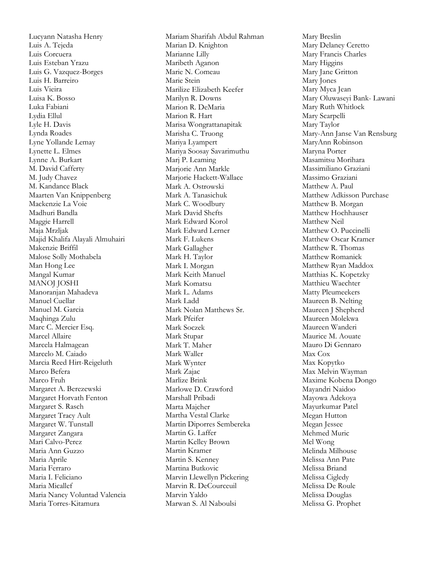Lucyann Natasha Henry Luis A. Tejeda Luis Corcuera Luis Esteban Yrazu Luis G. Vazquez -Borges Luis H. Barreiro Luis Vieira Luisa K. Bosso Luka Fabiani Lydia Ellul Lyle H. Davis Lynda Roades Lyne Yollande Lemay Lynette L. Elmes Lynne A. Burkart M. David Cafferty M. Judy Chavez M. Kandance Black Maarten Van Knippenberg Mackenzie La Voie Madhuri Bandla Maggie Harrell Maja Mrzljak Majid Khalifa Alayali Almuhairi Makenzie Briffil Malose Solly Mothabela Man Hong Lee Mangal Kumar MANOJ JOSHI Manoranjan Mahadeva Manuel Cuellar Manuel M. Garcia Maqhinga Zulu Marc C. Mercier Esq. Marcel Allaire Marcela Halmagean Marcelo M. Caiado Marcia Reed Hirt -Reigeluth Marco Befera Marco Fruh Margaret A. Berezewski Margaret Horvath Fenton Margaret S. Rasch Margaret Tracy Ault Margaret W. Tunstall Margaret Zangara Mari Calvo -Perez Maria Ann Guzzo Maria Aprile Maria Ferraro Maria I. Feliciano Maria Micallef Maria Nancy Voluntad Valencia Maria Torres -Kitamura

Mariam Sharifah Abdul Rahman Marian D. Knighton Marianne Lilly Maribeth Aganon Marie N. Comeau Marie Stein Marilize Elizabeth Keefer Marilyn R. Downs Marion R. DeMaria Marion R. Hart Marisa Wongrattanapitak Marisha C. Truong Mariya Lyampert Mariya Soosay Savarimuthu Marj P. Leaming Marjorie Ann Markle Marjorie Hackett -Wallace Mark A. Ostrowski Mark A. Tanasichuk Mark C. Woodbury Mark David Shefts Mark Edward Korol Mark Edward Lerner Mark F. Lukens Mark Gallagher Mark H. Taylor Mark I. Morgan Mark Keith Manuel Mark Komatsu Mark L. Adams Mark Ladd Mark Nolan Matthews Sr. Mark Pfeifer Mark Soczek Mark Stupar Mark T. Maher Mark Waller Mark Wynter Mark Zajac Marlize Brink Marlowe D. Crawford Marshall Pribadi Marta Majcher Martha Vestal Clarke Martin Diporres Sembereka Martin G. Laffer Martin Kelley Brown Martin Kramer Martin S. Kenney Martina Butkovic Marvin Llewellyn Pickering Marvin R. DeCourceuil Marvin Yaldo Marwan S. Al Naboulsi

Mary Breslin Mary Delaney Ceretto Mary Francis Charles Mary Higgins Mary Jane Gritton Mary Jones Mary Myca Jean Mary Oluwaseyi Bank - Lawani Mary Ruth Whitlock Mary Scarpelli Mary Taylor Mary -Ann Janse Van Rensburg MaryAnn Robinson Maryna Porter Masamitsu Morihara Massimiliano Graziani Massimo Graziani Matthew A. Paul Matthew Adkisson Purchase Matthew B. Morgan Matthew Hochhauser Matthew Neil Matthew O. Puccinelli Matthew Oscar Kramer Matthew R. Thomas Matthew Romanick Matthew Ryan Maddox Matthias K. Kopetzky Matthieu Waechter Matty Pleumeekers Maureen B. Nelting Maureen J Shepherd Maureen Molekwa Maureen Wanderi Maurice M. Aouate Mauro Di Gennaro Max Cox Max Kopytko Max Melvin Wayman Maxime Kobena Dongo Mayandri Naidoo Mayowa Adekoya Mayurkumar Patel Megan Hutton Megan Jessee Mehmed Muric Mel Wong Melinda Milhouse Melissa Ann Pate Melissa Briand Melissa Cigledy Melissa De Roule Melissa Douglas Melissa G. Prophet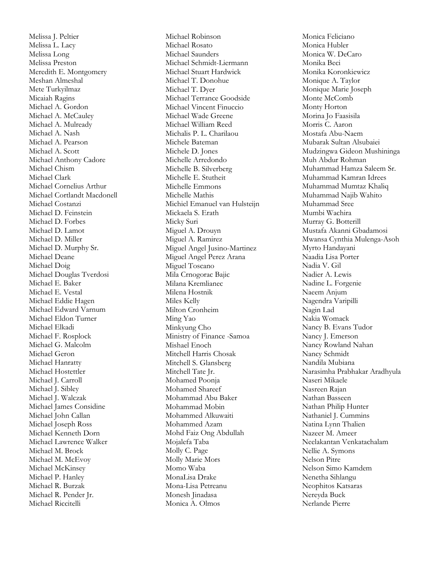Melissa J. Peltier Melissa L. Lacy Melissa Long Melissa Preston Meredith E. Montgomery Meshan Almeshal Mete Turkyilmaz Micaiah Ragins Michael A. Gordon Michael A. McCauley Michael A. Mulready Michael A. Nash Michael A. Pearson Michael A. Scott Michael Anthony Cadore Michael Chism Michael Clark Michael Cornelius Arthur Michael Cortlandt Macdonell Michael Costanzi Michael D. Feinstein Michael D. Forbes Michael D. Lamot Michael D. Miller Michael D. Murphy Sr. Michael Deane Michael Doig Michael Douglas Tverdosi Michael E. Baker Michael E. Vestal Michael Eddie Hagen Michael Edward Varnum Michael Eldon Turner Michael Elkadi Michael F. Rosplock Michael G. Malcolm Michael Geron Michael Hanratty Michael Hostettler Michael J. Carroll Michael J. Sibley Michael J. Walczak Michael James Considine Michael John Callan Michael Joseph Ross Michael Kenneth Dorn Michael Lawrence Walker Michael M. Brock Michael M. McEvoy Michael McKinsey Michael P. Hanley Michael R. Burzak Michael R. Pender Jr. Michael Riccitelli

Michael Robinson Michael Rosato Michael Saunders Michael Schmidt -Liermann Michael Stuart Hardwick Michael T. Donohue Michael T. Dyer Michael Terrance Goodside Michael Vincent Finuccio Michael Wade Greene Michael William Reed Michalis P. L. Charilaou Michele Bateman Michele D. Jones Michelle Arredondo Michelle B. Silverberg Michelle E. Stutheit Michelle Emmons Michelle Mathis Michiel Emanuel van Hulsteijn Mickaela S. Erath Micky Suri Miguel A. Drouyn Miguel A. Ramirez Miguel Angel Jusino -Martinez Miguel Angel Perez Arana Miguel Toscano Mila Crnogorac Bajic Milana Kremlianec Milena Hostnik Miles Kelly Milton Cronheim Ming Yao Minkyung Cho Ministry of Finance -Samoa Mishael Enoch Mitchell Harris Chosak Mitchell S. Glansberg Mitchell Tate Jr. Mohamed Poonja Mohamed Shareef Mohammad Abu Baker Mohammad Mobin Mohammed Alkuwaiti Mohammed Azam Mohd Faiz Ong Abdullah Mojalefa Taba Molly C. Page Molly Marie Mors Momo Waba MonaLisa Drake Mona -Lisa Petreanu Monesh Jinadasa Monica A. Olmos

Monica Feliciano Monica Hubler Monica W. DeCaro Monika Beci Monika Koronkiewicz Monique A. Taylor Monique Marie Joseph Monte McComb Monty Horton Morina Jo Faasisila Morris C. Aaron Mostafa Abu -Naem Mubarak Sultan Alsubaiei Mudzingwa Gideon Mushininga Muh Abdur Rohman Muhammad Hamza Saleem Sr. Muhammad Kamran Idrees Muhammad Mumtaz Khaliq Muhammad Najib Wahito Muhammad Sree Mumbi Wachira Murray G. Botterill Mustafa Akanni Gbadamosi Mwansa Cynthia Mulenga -Asoh Myrto Handayani Naadia Lisa Porter Nadia V. Gil Nadier A. Lewis Nadine L. Forgenie Naeem Anjum Nagendra Varipilli Nagin Lad Nakia Womack Nancy B. Evans Tudor Nancy J. Emerson Nancy Rowland Nahan Nancy Schmidt Nandila Mubiana Narasimha Prabhakar Aradhyula Naseri Mikaele Nasreen Rajan Nathan Basseen Nathan Philip Hunter Nathaniel J. Cummins Natina Lynn Thalien Nazeer M. Ameer Neelakantan Venkatachalam Nellie A. Symons Nelson Pitre Nelson Simo Kamdem Nenetha Sihlangu Neophitos Katsaras Nereyda Buck Nerlande Pierre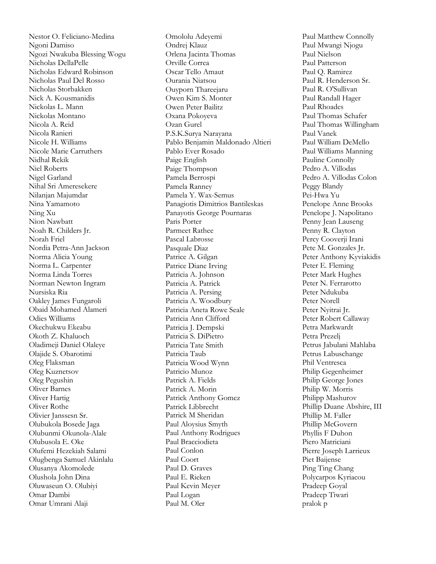Nestor O. Feliciano -Medina Ngoni Damiso Ngozi Nwakuba Blessing Wogu Nicholas DellaPelle Nicholas Edward Robinson Nicholas Paul Del Rosso Nicholas Storbakken Nick A. Kousmanidis Nickolas L. Mann Nickolas Montano Nicola A. Reid Nicola Ranieri Nicole H. Williams Nicole Marie Carruthers Nidhal Rekik Niel Roberts Nigel Garland Nihal Sri Ameresekere Nilanjan Majumdar Nina Yamamoto Ning Xu Nion Nawbatt Noah R. Childers Jr. Norah Friel Nordia Petra -Ann Jackson Norma Alicia Young Norma L. Carpenter Norma Linda Torres Norman Newton Ingram Nursiska Ria Oakley James Fungaroli Obaid Mohamed Alameri Odies Williams Okechukwu Ekeabu Okoth Z. Khaluoch Oladimeji Daniel Olaleye Olajide S. Obarotimi Oleg Flaksman Oleg Kuznetsov Oleg Pegushin Oliver Barnes Oliver Hartig Oliver Rothe Olivier Janssesn Sr. Olubukola Bosede Jaga Olubunmi Okunola -Alale Olubusola E. Oke Olufemi Hezekiah Salami Olugbenga Samuel Akinlalu Olusanya Akomolede Olushola John Dina Oluwaseun O. Olubiyi Omar Dambi Omar Umrani Alaji

Omololu Adeyemi Ondrej Klauz Orlena Jacinta Thomas Orville Correa Oscar Tello Amaut Ourania Niatsou Ouyporn Thareejaru Owen Kim S. Monter Owen Peter Bailitz Oxana Pokoyeva Ozan Gurel P.S.K.Surya Narayana Pablo Benjamin Maldonado Altieri Pablo Ever Rosado Paige English Paige Thompson Pamela Berrospi Pamela Ranney Pamela Y. Wax -Semus Panagiotis Dimitrios Bantileskas Panayotis George Pournaras Paris Porter Parmeet Rathee Pascal Labrosse Pasquale Diaz Patrice A. Gilgan Patrice Diane Irving Patricia A. Johnson Patricia A. Patrick Patricia A. Persing Patricia A. Woodbury Patricia Aneta Rowe Seale Patricia Ann Clifford Patricia J. Dempski Patricia S. DiPietro Patricia Tate Smith Patricia Taub Patricia Wood Wynn Patricio Munoz Patrick A. Fields Patrick A. Morin Patrick Anthony Gomez Patrick Libbrecht Patrick M Sheridan Paul Aloysius Smyth Paul Anthony Rodrigues Paul Bracciodieta Paul Conlon Paul Coort Paul D. Graves Paul E. Rieken Paul Kevin Meyer Paul Logan Paul M. Oler

Paul Matthew Connolly Paul Mwangi Njogu Paul Nielson Paul Patterson Paul Q. Ramirez Paul R. Henderson Sr. Paul R. O'Sullivan Paul Randall Hager Paul Rhoades Paul Thomas Schafer Paul Thomas Willingham Paul Vanek Paul William DeMello Paul Williams Manning Pauline Connolly Pedro A. Villodas Pedro A. Villodas Colon Peggy Blandy Pei -Hwa Yu Penelope Anne Brooks Penelope J. Napolitano Penny Jean Lauseng Penny R. Clayton Percy Cooverji Irani Pete M. Gonzales Jr. Peter Anthony Kyviakidis Peter E. Fleming Peter Mark Hughes Peter N. Ferrarotto Peter Ndukuba Peter Norell Peter Nyitrai Jr. Peter Robert Callaway Petra Markwardt Petra Prezelj Petrus Jabulani Mahlaba Petrus Labuschange Phil Ventresca Philip Gegenheimer Philip George Jones Philip W. Morris Philipp Mashurov Phillip Duane Abshire, III Phillip M. Faller Phillip McGovern Phyllis F Duhon Piero Matriciani Pierre Joseph Larrieux Piet Baijense Ping Ting Chang Polycarpos Kyriacou Pradeep Goyal Pradeep Tiwari pralok p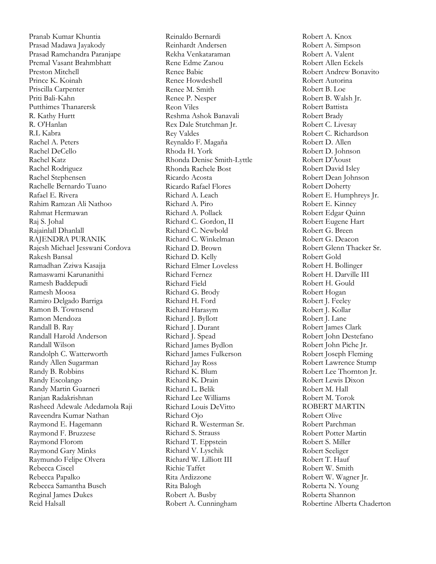Pranab Kumar Khuntia Prasad Madawa Jayakody Prasad Ramchandra Paranjape Premal Vasant Brahmbhatt Preston Mitchell Prince K. Koinah Priscilla Carpenter Priti Bali -Kahn Putthimes Thanarersk R. Kathy Hurtt R. O'Hanlan R.L Kabra Rachel A. Peters Rachel DeCello Rachel Katz Rachel Rodriguez Rachel Stephensen Rachelle Bernardo Tuano Rafael E. Rivera Rahim Ramzan Ali Nathoo Rahmat Hermawan Raj S. Johal Rajainlall Dhanlall RAJENDRA PURANIK Rajesh Michael Jesswani Cordova Rakesh Bansal Ramadhan Zziwa Kasajja Ramaswami Karunanithi Ramesh Baddepudi Ramesh Moosa Ramiro Delgado Barriga Ramon B. Townsend Ramon Mendoza Randall B. Ray Randall Harold Anderson Randall Wilson Randolph C. Watterworth Randy Allen Sugarman Randy B. Robbins Randy Escolango Randy Martin Guarneri Ranjan Radakrishnan Rasheed Adewale Adedamola Raji Raveendra Kumar Nathan Raymond E. Hagemann Raymond F. Bruzzese Raymond Florom Raymond Gary Minks Raymundo Felipe Olvera Rebecca Ciscel Rebecca Papalko Rebecca Samantha Busch Reginal James Dukes Reid Halsall

Reinaldo Bernardi Reinhardt Andersen Rekha Venkataraman Rene Edme Zanou Renee Babic Renee Howdeshell Renee M. Smith Renee P. Nesper Reon Viles Reshma Ashok Banavali Rex Dale Stutchman Jr. Rey Valdes Reynaldo F. Magaña Rhoda H. York Rhonda Denise Smith -Lyttle Rhonda Rachele Bost Ricardo Acosta Ricardo Rafael Flores Richard A. Leach Richard A. Piro Richard A. Pollack Richard C. Gordon, II Richard C. Newbold Richard C. Winkelman Richard D. Brown Richard D. Kelly Richard Elmer Loveless Richard Fernez Richard Field Richard G. Brody Richard H. Ford Richard Harasym Richard J. Byllott Richard J. Durant Richard J. Spead Richard James Bydlon Richard James Fulkerson Richard Jay Ross Richard K. Blum Richard K. Drain Richard L. Belik Richard Lee Williams Richard Louis DeVitto Richard Ojo Richard R. Westerman Sr. Richard S. Strauss Richard T. Eppstein Richard V. Lyschik Richard W. Lilliott III Richie Taffet Rita Ardizzone Rita Balogh Robert A. Busby Robert A. Cunningham

Robert A. Knox Robert A. Simpson Robert A. Valent Robert Allen Eckels Robert Andrew Bonavito Robert Autorina Robert B. Loe Robert B. Walsh Jr. Robert Battista Robert Brady Robert C. Livesay Robert C. Richardson Robert D. Allen Robert D. Johnson Robert D'Aoust Robert David Isley Robert Dean Johnson Robert Doherty Robert E. Humphreys Jr. Robert E. Kinney Robert Edgar Quinn Robert Eugene Hart Robert G. Breen Robert G. Deacon Robert Glenn Thacker Sr. Robert Gold Robert H. Bollinger Robert H. Darville III Robert H. Gould Robert Hogan Robert J. Feeley Robert J. Kollar Robert J. Lane Robert James Clark Robert John Destefano Robert John Piche Jr. Robert Joseph Fleming Robert Lawrence Stump Robert Lee Thornton Jr. Robert Lewis Dixon Robert M. Hall Robert M. Torok ROBERT MARTIN Robert Olive Robert Parchman Robert Potter Martin Robert S. Miller Robert Seeliger Robert T. Hauf Robert W. Smith Robert W. Wagner Jr. Roberta N. Young Roberta Shannon Robertine Alberta Chaderton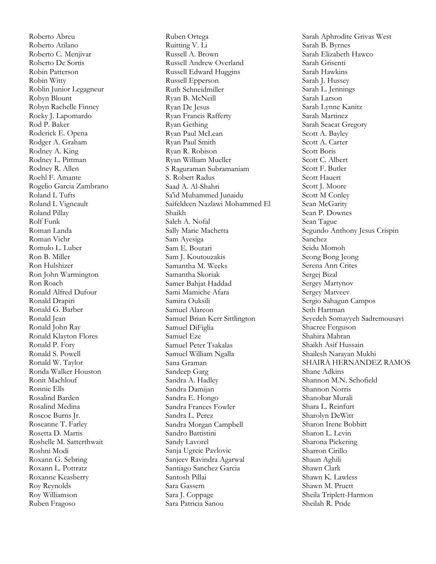Roberto Abreu Roberto Atilano Roberto C. Menjivar Roberto De Sortis Robin Patterson Robin Witty Roblin Junior Legagneur Robyn Blount Robyn Rachelle Finney Rocky J. Lapomardo Rod P. Baker Roderick E. Opena Rodger A. Graham Rodney A. King Rodney L. Pittman Rodney R. Allen Roehl F. Amante Rogelio Garcia Zambrano Roland L Tufts Roland L Vigneault Roland Pillay Rolf Funk Roman Landa Roman Vichr Romulo L. Luber Ron B. Miller Ron Hulshizer Ron John Warmington Ron Roach Ronald Alfred Dufour Ronald Drapiri Ronald G. Barber Ronald Jean Ronald John Ray Ronald Klayton Flores Ronald P. Fory Ronald S. Powell Ronald W. Taylor Ronda Walker Houston Ronit Machlouf Ronnie Ells Rosalind Barden Rosalind Medina Roscoe Burns Jr. Roseanne T. Farley Rosetta D. Martis Roshelle M. Satterthwait Roshni Modi Roxann G. Sebring Roxann L. Pottratz Roxanne Keasberry Roy Reynolds Roy Williamson Ruben Fragoso

Ruben Ortega Ruitting V. Li Russell A. Brown Russell Andrew Overland Russell Edward Huggins Russell Epperson Ruth Schneidmiller Ryan B. McNeill Ryan De Jesus Ryan Francis Rafferty Ryan Gething Ryan Paul McLean Ryan Paul Smith Ryan R. Robison Ryan William Mueller S Raguraman Subramaniam S. Robert Radus Saad A. Al -Shahri Sa'id Muhammed Junaidu Saifeldeen Nazlawi Mohammed El Shaikh Saleh A. Nofal Sally Marie Machetta Sam Ayesiga Sam E. Boutari Sam J. Koutouzakis Samantha M. Weeks Samantha Skoriak Samer Bahjat Haddad Sami Mamiche Afara Samira Ouksili Samuel Alarcon Samuel Brian Kerr Sittlington Samuel DiFiglia Samuel Eze Samuel Peter Tsakalas Samuel William Ngalla Sana Graman Sandeep Garg Sandra A. Hadley Sandra Damijan Sandra E. Hongo Sandra Frances Fowler Sandra L. Perez Sandra Morgan Campbell Sandro Battistini Sandy Lavorel Sanja Ugrcic Pavlovic Sanjeev Ravindra Agarwal Santiago Sanchez Garcia Santosh Pillai Sara Gassem Sara J. Coppage Sara Patricia Sanou

Sarah Aphrodite Grivas West Sarah B. Byrnes Sarah Elizabeth Hawco Sarah Grisenti Sarah Hawkins Sarah J. Hussey Sarah L. Jennings Sarah Larson Sarah Lynne Kanitz Sarah Martinez Sarah Seacat Gregory Scott A. Bayley Scott A. Carter Scott Boris Scott C. Albert Scott F. Butler Scott Hauert Scott J. Moore Scott M Conley Sean McGarity Sean P. Downes Sean Tague Segundo Anthony Jesus Crispin Sanchez Seidu Momoh Seong Bong Jeong Serena Ann Crites Sergej Bizal Sergey Martynov Sergey Matveev Sergio Sahagun Campos Seth Hartman Seyedeh Somayyeh Sadremousavi Shacree Ferguson Shahira Mahran Shaikh Asif Hussain Shailesh Narayan Mukhi SHAIRA HERNANDEZ RAMOS Shane Adkins Shannon M.N. Schofield Shannon Norris Shanobar Murali Shara L. Reinfurt Sharolyn DeWitt Sharon Irene Bobbitt Sharon L. Levin Sharona Pickering Sharron Cirillo Shaun Aghili Shawn Clark Shawn K. Lawless Shawn M. Pruett Sheila Triplett -Harmon Sheilah R. Pride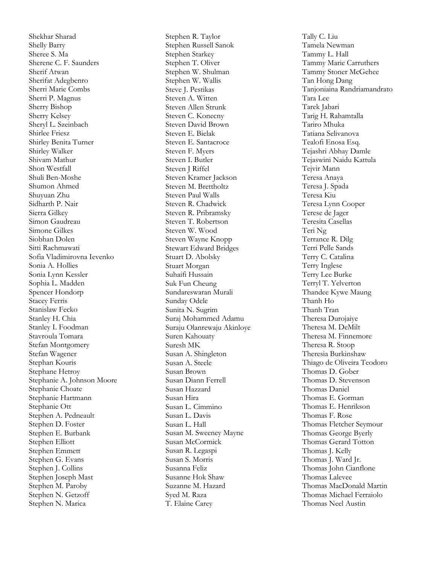Shekhar Sharad Shelly Barry Sheree S. Ma Sherene C. F. Saunders Sherif Atwan Sherifat Adegbenro Sherri Marie Combs Sherri P. Magnus Sherry Bishop Sherry Kelsey Sheryl L. Szeinbach Shirlee Friesz Shirley Benita Turner Shirley Walker Shivam Mathur Shon Westfall Shuli Ben -Moshe Shumon Ahmed Shuyuan Zhu Sidharth P. Nair Sierra Gilkey Simon Gaudreau Simone Gilkes Siobhan Dolen Sitti Rachmawati Sofia Vladimirovna Ievenko Sonia A. Hollies Sonia Lynn Kessler Sophia L. Madden Spencer Hondorp Stacey Ferris Stanislaw Fecko Stanley H. Chia Stanley I. Foodman Stavroula Tomara Stefan Montgomery Stefan Wagener Stephan Kouris Stephane Hetroy Stephanie A. Johnson Moore Stephanie Choate Stephanie Hartmann Stephanie Ott Stephen A. Pedneault Stephen D. Foster Stephen E. Burbank Stephen Elliott Stephen Emmett Stephen G. Evans Stephen J. Collins Stephen Joseph Mast Stephen M. Paroby Stephen N. Getzoff Stephen N. Marica

Stephen R. Taylor Stephen Russell Sanok Stephen Starkey Stephen T. Oliver Stephen W. Shulman Stephen W. Wallis Steve J. Pestikas Steven A. Witten Steven Allen Strunk Steven C. Konecny Steven David Brown Steven E. Bielak Steven E. Santacroce Steven F. Myers Steven I. Butler Steven J Riffel Steven Kramer Jackson Steven M. Brettholtz Steven Paul Walls Steven R. Chadwick Steven R. Pribramsky Steven T. Robertson Steven W. Wood Steven Wayne Knopp Stewart Edward Bridges Stuart D. Abolsky Stuart Morgan Suhaifi Hussain Suk Fun Cheung Sundareswaran Murali Sunday Odele Sunita N. Sugrim Suraj Mohammed Adamu Suraju Olanrewaju Akinloye Suren Kahouaty Suresh MK Susan A. Shingleton Susan A. Steele Susan Brown Susan Diann Ferrell Susan Hazzard Susan Hira Susan L. Cimmino Susan L. Davis Susan L. Hall Susan M. Sweeney Mayne Susan McCormick Susan R. Legaspi Susan S. Morris Susanna Feliz Susanne Hok Shaw Suzanne M. Hazard Syed M. Raza T. Elaine Carey

Tally C. Liu Tamela Newman Tammy L. Hall Tammy Marie Carruthers Tammy Stoner McGehee Tan Hong Dang Tanjoniaina Randriamandrato Tara Lee Tarek Jabari Tarig H. Rahamtalla Tariro Mhuka Tatiana Selivanova Tealofi Enosa Esq. Tejashri Abhay Damle Tejaswini Naidu Kattula Tejvir Mann Teresa Anaya Teresa J. Spada Teresa Kiu Teresa Lynn Cooper Terese de Jager Teresita Casellas Teri Ng Terrance R. Dilg Terri Pelle Sands Terry C. Catalina Terry Inglese Terry Lee Burke Terryl T. Yelverton Thandee Kywe Maung Thanh Ho Thanh Tran Theresa Durojaiye Theresa M. DeMilt Theresa M. Finnemore Theresa R. Stoop Theresia Burkinshaw Thiago de Oliveira Teodoro Thomas D. Gober Thomas D. Stevenson Thomas Daniel Thomas E. Gorman Thomas E. Henrikson Thomas F. Rose Thomas Fletcher Seymour Thomas George Byerly Thomas Gerard Totton Thomas J. Kelly Thomas J. Ward Jr. Thomas John Cianflone Thomas Lalevee Thomas MacDonald Martin Thomas Michael Ferraiolo Thomas Neel Austin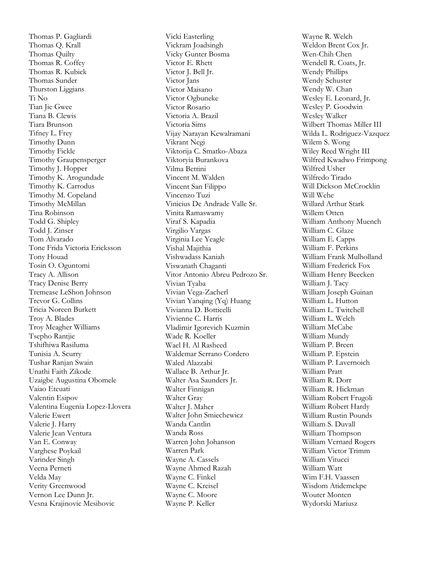Thomas P. Gagliardi Thomas Q. Krall Thomas Quilty Thomas R. Coffey Thomas R. Kubick Thomas Sunder Thurston Liggians Ti No Tian Jie Gwee Tiana B. Clewis Tiara Brunson Tifney L. Frey Timothy Dunn Timothy Fickle Timothy Graupensperger Timothy J. Hopper Timothy K. Arogundade Timothy K. Carrodus Timothy M. Copeland Timothy McMillan Tina Robinson Todd G. Shipley Todd J. Zinser Tom Alvarado Tone Frida Victoria Ericksson Tony Houad Tosin O. Oguntomi Tracy A. Allison Tracy Denise Berry Tremease LeShon Johnson Trevor G. Collins Tricia Noreen Burkett Troy A. Blades Troy Meagher Williams Tsepho Rantjie Tshifhiwa Rasiluma Tunisia A. Scurry Tushar Ranjan Swain Unathi Faith Zikode Uzaigbe Augustina Obomele Vaiao Eteuati Valentin Esipov Valentina Eugenia Lopez-Llovera Valerie Ewert Valerie J. Harry Valerie Jean Ventura Van E. Conway Varghese Poykail Varinder Singh Veena Perneti Velda May Verity Greenwood Vernon Lee Dunn Jr. Vesna Krajinovic Mesihovic

Vicki Easterling Vickram Joadsingh Vicky Gunter Bosma Victor E. Rhett Victor J. Bell Jr. Victor Jans Victor Maisano Victor Ogbuneke Victor Rosario Victoria A. Brazil Victoria Sims Vijay Narayan Kewalramani Vikrant Negi Viktorija C. Smatko-Abaza Viktoryia Burankova Vilma Bettini Vincent M. Walden Vincent San Filippo Vincenzo Tuzi Vinicius De Andrade Valle Sr. Vinita Ramaswamy Viraf S. Kapadia Virgilio Vargas Virginia Lee Yeagle Vishal Majithia Vishwadass Kaniah Viswanath Chaganti Vitor Antonio Abreu Pedrozo Sr. Vivian Tyaba Vivian Vega-Zacherl Vivian Yanqing (Yq) Huang Vivianna D. Botticelli Vivienne C. Harris Vladimir Igorevich Kuzmin Wade R. Koeller Wael H. Al Rasheed Waldemar Serrano Cordero Waled Alazzabi Wallace B. Arthur Jr. Walter Asa Saunders Jr. Walter Finnigan Walter Gray Walter J. Maher Walter John Smiechewicz Wanda Cantlin Wanda Ross Warren John Johanson Warren Park Wayne A. Cassels Wayne Ahmed Razah Wayne C. Finkel Wayne C. Kreisel Wayne C. Moore Wayne P. Keller

Wayne R. Welch Weldon Brent Cox Jr. Wen-Chih Chen Wendell R. Coats, Jr. Wendy Phillips Wendy Schuster Wendy W. Chan Wesley E. Leonard, Jr. Wesley P. Goodwin Wesley Walker Wilbert Thomas Miller III Wilda L. Rodriguez-Vazquez Wilem S. Wong Wiley Reed Wright III Wilfred Kwadwo Frimpong Wilfred Usher Wilfredo Tirado Will Dickson McCrocklin Will Wehe Willard Arthur Stark Willem Otten William Anthony Muench William C. Glaze William E. Capps William F. Perkins William Frank Mulholland William Frederick Fox William Henry Beecken William J. Tacy William Joseph Guinan William L. Hutton William L. Twitchell William L. Welch William McCabe William Mundy William P. Breen William P. Epstein William P. Lavernoich William Pratt William R. Dorr William R. Hickman William Robert Frugoli William Robert Hardy William Rustin Pounds William S. Duvall William Thompson William Vernard Rogers William Victor Trimm William Vitucci William Watt Wim F.H. Vaassen Wisdom Atidemekpe Wouter Monten Wydorski Mariusz